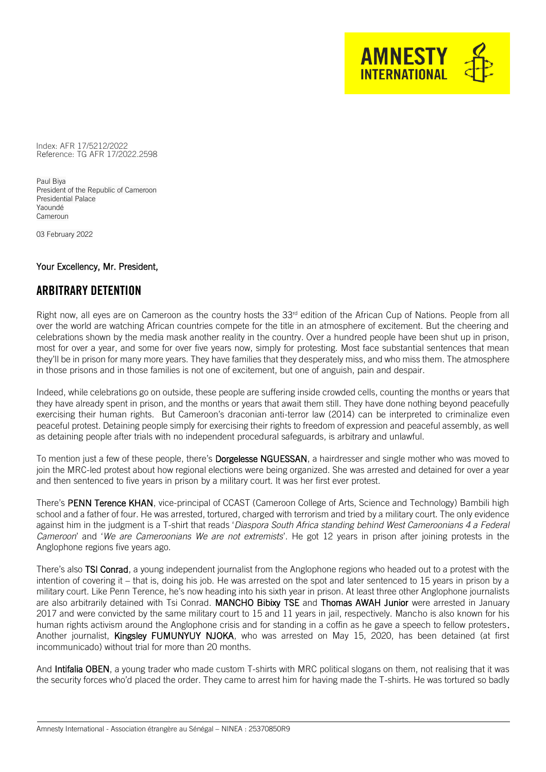Reference: TG AFR 17/2022.2598 Index: AFR 17/5212/2022

Paul Biya President of the Republic of Cameroon Presidential Palace Yaoundé Cameroun

03 February 2022

# Your Excellency, Mr. President,

# ARBITRARY DETENTION

Right now, all eyes are on Cameroon as the country hosts the 33<sup>rd</sup> edition of the African Cup of Nations. People from all over the world are watching African countries compete for the title in an atmosphere of excitement. But the cheering and celebrations shown by the media mask another reality in the country. Over a hundred people have been shut up in prison, most for over a year, and some for over five years now, simply for protesting. Most face substantial sentences that mean they'll be in prison for many more years. They have families that they desperately miss, and who miss them. The atmosphere in those prisons and in those families is not one of excitement, but one of anguish, pain and despair.

**AMNESTY INTERNATIONA** 

Indeed, while celebrations go on outside, these people are suffering inside crowded cells, counting the months or years that they have already spent in prison, and the months or years that await them still. They have done nothing beyond peacefully exercising their human rights. But Cameroon's draconian anti-terror law (2014) can be interpreted to criminalize even peaceful protest. Detaining people simply for exercising their rights to freedom of expression and peaceful assembly, as well as detaining people after trials with no independent procedural safeguards, is arbitrary and unlawful.

To mention just a few of these people, there's **Dorgelesse NGUESSAN**, a hairdresser and single mother who was moved to join the MRC-led protest about how regional elections were being organized. She was arrested and detained for over a year and then sentenced to five years in prison by a military court. It was her first ever protest.

There's PENN Terence KHAN, vice-principal of CCAST (Cameroon College of Arts, Science and Technology) Bambili high school and a father of four. He was arrested, tortured, charged with terrorism and tried by a military court. The only evidence against him in the judgment is a T-shirt that reads '*Diaspora South Africa standing behind West Cameroonians 4 a Federal Cameroon*' and '*We are Cameroonians We are not extremists*'. He got 12 years in prison after joining protests in the Anglophone regions five years ago.

There's also TSI Conrad, a young independent journalist from the Anglophone regions who headed out to a protest with the intention of covering it – that is, doing his job. He was arrested on the spot and later sentenced to 15 years in prison by a military court. Like Penn Terence, he's now heading into his sixth year in prison. At least three other Anglophone journalists are also arbitrarily detained with Tsi Conrad. [MANCHO Bibixy](https://eur02.safelinks.protection.outlook.com/?url=https%3A%2F%2Fcpj.org%2Fdata%2Fpeople%2Fmancho-bibixy%2F&data=04%7C01%7Csarah.mathewson%40amnesty.org%7C381544853a4f408f530d08d9dfa8c1a1%7Cc2dbf829378d44c1b47a1c043924ddf3%7C0%7C0%7C637786738164637172%7CUnknown%7CTWFpbGZsb3d8eyJWIjoiMC4wLjAwMDAiLCJQIjoiV2luMzIiLCJBTiI6Ik1haWwiLCJXVCI6Mn0%3D%7C3000&sdata=QlmPMLvJAQ9ORjX48gO3JnSTJPWiiklVIZJMBqcXYXk%3D&reserved=0) TSE and [Thomas AWAH Junior](https://eur02.safelinks.protection.outlook.com/?url=https%3A%2F%2Fcpj.org%2Fdata%2Fpeople%2Fthomas-awah-junior%2F&data=04%7C01%7Csarah.mathewson%40amnesty.org%7C381544853a4f408f530d08d9dfa8c1a1%7Cc2dbf829378d44c1b47a1c043924ddf3%7C0%7C0%7C637786738164637172%7CUnknown%7CTWFpbGZsb3d8eyJWIjoiMC4wLjAwMDAiLCJQIjoiV2luMzIiLCJBTiI6Ik1haWwiLCJXVCI6Mn0%3D%7C3000&sdata=uk2YKuJ%2FMUPpgEE7UyBMnxcQNlRntgb4JAEMloySIKg%3D&reserved=0) were arrested in January 2017 and were convicted by the same military court to 15 and 11 years in jail, respectively. Mancho is also known for his human rights activism around the Anglophone crisis and for standing in a coffin as he gave a speech to fellow protesters. Another journalist, [Kingsley FUMUNYUY NJOKA,](https://eur02.safelinks.protection.outlook.com/?url=https%3A%2F%2Fcpj.org%2Fdata%2Fpeople%2Fkingsley-fomunyuy-njoka%2F&data=04%7C01%7Csarah.mathewson%40amnesty.org%7C381544853a4f408f530d08d9dfa8c1a1%7Cc2dbf829378d44c1b47a1c043924ddf3%7C0%7C0%7C637786738164637172%7CUnknown%7CTWFpbGZsb3d8eyJWIjoiMC4wLjAwMDAiLCJQIjoiV2luMzIiLCJBTiI6Ik1haWwiLCJXVCI6Mn0%3D%7C3000&sdata=MFx5Ae06KN7oip0P7HanG28B88erGOkxCoJnccDt9Dc%3D&reserved=0) who was arrested on May 15, 2020, has been detained (at first incommunicado) without trial for more than 20 months.

And Intifalia OBEN, a young trader who made custom T-shirts with MRC political slogans on them, not realising that it was the security forces who'd placed the order. They came to arrest him for having made the T-shirts. He was tortured so badly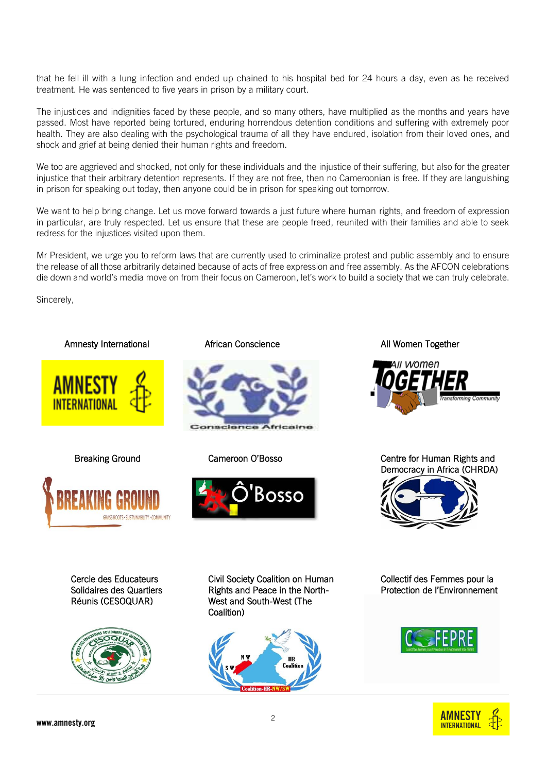that he fell ill with a lung infection and ended up chained to his hospital bed for 24 hours a day, even as he received treatment. He was sentenced to five years in prison by a military court.

The injustices and indignities faced by these people, and so many others, have multiplied as the months and years have passed. Most have reported being tortured, enduring horrendous detention conditions and suffering with extremely poor health. They are also dealing with the psychological trauma of all they have endured, isolation from their loved ones, and shock and grief at being denied their human rights and freedom.

We too are aggrieved and shocked, not only for these individuals and the injustice of their suffering, but also for the greater injustice that their arbitrary detention represents. If they are not free, then no Cameroonian is free. If they are languishing in prison for speaking out today, then anyone could be in prison for speaking out tomorrow.

We want to help bring change. Let us move forward towards a just future where human rights, and freedom of expression in particular, are truly respected. Let us ensure that these are people freed, reunited with their families and able to seek redress for the injustices visited upon them.

Mr President, we urge you to reform laws that are currently used to criminalize protest and public assembly and to ensure the release of all those arbitrarily detained because of acts of free expression and free assembly. As the AFCON celebrations die down and world's media move on from their focus on Cameroon, let's work to build a society that we can truly celebrate.

Sincerely,

#### Amnesty International **African Conscience** All Women Together











Breaking Ground Cameroon O'Bosso Centre for Human Rights and Democracy in Africa (CHRDA)



Cercle des Educateurs Solidaires des Quartiers Réunis (CESOQUAR)



Civil Society Coalition on Human Rights and Peace in the North-West and South-West (The Coalition)



Collectif des Femmes pour la Protection de l'Environnement



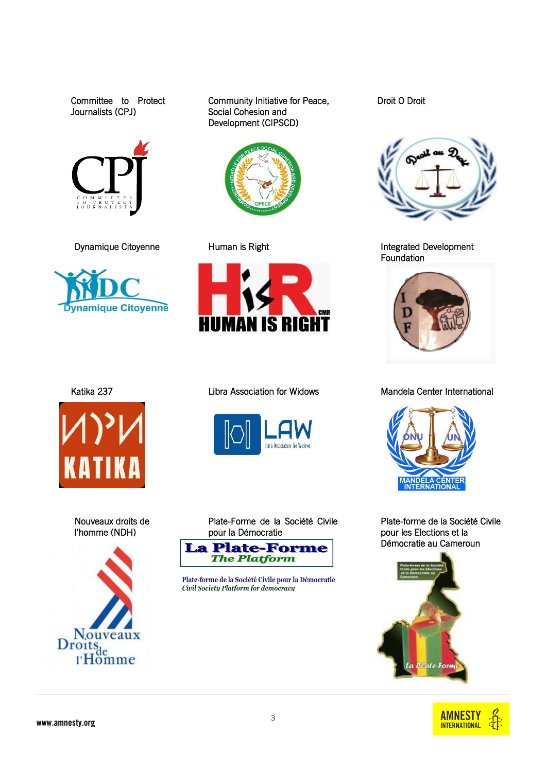Committee to Protect Journalists (CPJ)





Community Initiative for Peace, Social Cohesion and Development (CIPSCD)















Plate-Forme de la Société Civile pour la Démocratie **La Plate-Forme** The Platform

Plate-forme de la Société Civile pour la Démocratie Civil Society Platform for democracy

Droit O Droit



Dynamique Citoyenne **Integrated Development** Human is Right Integrated Development Foundation



Katika 237 **Right Clubra Association for Widows** Mandela Center International



Plate-forme de la Société Civile pour les Elections et la Démocratie au Cameroun